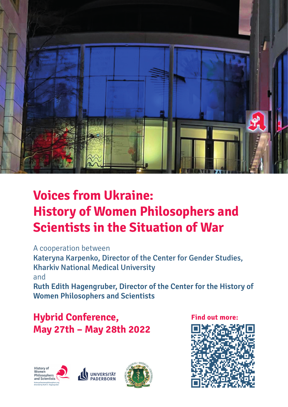

## **Voices from Ukraine: History of Women Philosophers and Scientists in the Situation of War**

A cooperation between Kateryna Karpenko, Director of the Center for Gender Studies, Kharkiv National Medical University and **Ruth Edith Hagengruber, Director of the Center for the History of Women Philosophers and Scientists**

## **Hybrid Conference, May 27th – May 28th 2022**





**Find out more:** 

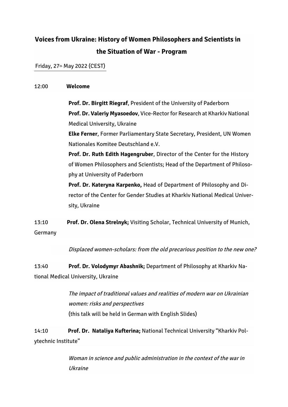## **Voices from Ukraine: History of Women Philosophers and Scientists in the Situation of War - Program**

Friday, 27th May 2022 (CEST)

## 12:00 **Welcome**

**Prof. Dr. Birgitt Riegraf**, President of the University of Paderborn **Prof. Dr. Valeriy Myasoedov**, Vice-Rector for Research at Kharkiv National Medical University, Ukraine

**Elke Ferner**, Former Parliamentary State Secretary, President, UN Women Nationales Komitee Deutschland e.V.

**Prof. Dr. Ruth Edith Hagengruber**, Director of the Center for the History of Women Philosophers and Scientists; Head of the Department of Philosophy at University of Paderborn

**Prof. Dr. Kateryna Karpenko,** Head of Department of Philosophy and Director of the Center for Gender Studies at Kharkiv National Medical University, Ukraine

13:10 **Prof. Dr. Olena Strelnyk;** Visiting Scholar, Technical University of Munich, Germany

Displaced women-scholars: from the old precarious position to the new one?

13:40 **Prof. Dr. Volodymyr Abashnik;** Department of Philosophy at Kharkiv National Medical University, Ukraine

> The impact of traditional values and realities of modern war on Ukrainian women: risks and perspectives (this talk will be held in German with English Slides)

14:10 **Prof. Dr. Nataliya Kufterina;** National Technical University "Kharkiv Polytechnic Institute"

> Woman in science and public administration in the context of the war in Ukraine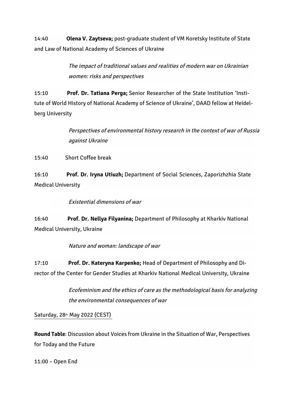14:40 **Olena V. Zaytseva;** post-graduate student of VM Koretsky Institute of State and Law of National Academy of Sciences of Ukraine

> The impact of traditional values and realities of modern war on Ukrainian women: risks and perspectives

15:10 **Prof. Dr. Tatiana Perga;** Senior Researcher of the State Institution 'Institute of World History of National Academy of Science of Ukraine', DAAD fellow at Heidelberg University

> Perspectives of environmental history research in the context of war of Russia against Ukraine

15:40 Short Coffee break

16:10 **Prof. Dr. Iryna Utiuzh;** Department of Social Sciences, Zaporizhzhia State Medical University

Existential dimensions of war

16:40 **Prof. Dr. Nellya Filyanina;** Department of Philosophy at Kharkiv National Medical University, Ukraine

Nature and woman: landscape of war

17:10 **Prof. Dr. Kateryna Karpenko;** Head of Department of Philosophy and Director of the Center for Gender Studies at Kharkiv National Medical University, Ukraine

> Ecofeminism and the ethics of care as the methodological basis for analyzing the environmental consequences of war

Saturday, 28th May 2022 (CEST)

**Round Table**: Discussion about Voices from Ukraine in the Situation of War, Perspectives for Today and the Future

11:00 – Open End